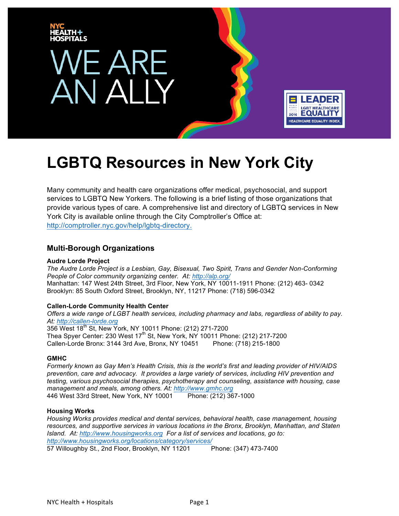

Many community and health care organizations offer medical, psychosocial, and support services to LGBTQ New Yorkers. The following is a brief listing of those organizations that provide various types of care. A comprehensive list and directory of LGBTQ services in New York City is available online through the City Comptroller's Office at: http://comptroller.nyc.gov/help/lgbtq-directory.

# **Multi-Borough Organizations**

# **Audre Lorde Project**

*The Audre Lorde Project is a Lesbian, Gay, Bisexual, Two Spirit, Trans and Gender Non-Conforming People of Color community organizing center. At: http://alp.org/*  Manhattan: 147 West 24th Street, 3rd Floor, New York, NY 10011-1911 Phone: (212) 463- 0342 Brooklyn: 85 South Oxford Street, Brooklyn, NY, 11217 Phone: (718) 596-0342

# **Callen-Lorde Community Health Center**

*Offers a wide range of LGBT health services, including pharmacy and labs, regardless of ability to pay. At: http://callen-lorde.org*  356 West 18<sup>th</sup> St, New York, NY 10011 Phone: (212) 271-7200 Thea Spyer Center: 230 West  $17<sup>th</sup>$  St, New York, NY 10011 Phone: (212) 217-7200 Callen-Lorde Bronx: 3144 3rd Ave, Bronx, NY 10451 Phone: (718) 215-1800

# **GMHC**

*Formerly known as Gay Men's Health Crisis, this is the world's first and leading provider of HIV/AIDS prevention, care and advocacy. It provides a large variety of services, including HIV prevention and testing, various psychosocial therapies, psychotherapy and counseling, assistance with housing, case management and meals, among others. At: http://www.gmhc.org* 446 West 33rd Street, New York, NY 10001 Phone: (212) 367-1000

# **Housing Works**

*Housing Works provides medical and dental services, behavioral health, case management, housing resources, and supportive services in various locations in the Bronx, Brooklyn, Manhattan, and Staten Island. At: http://www.housingworks.org For a list of services and locations, go to: http://www.housingworks.org/locations/category/services/* 57 Willoughby St., 2nd Floor, Brooklyn, NY 11201 Phone: (347) 473-7400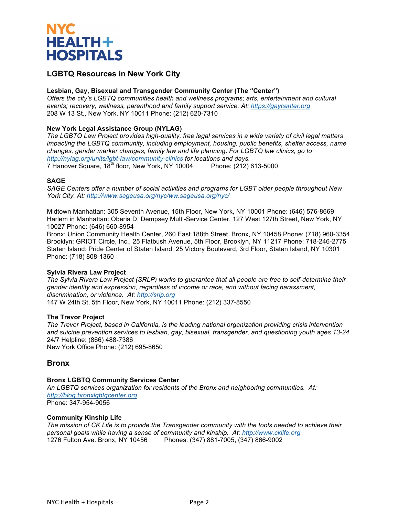

# **Lesbian, Gay, Bisexual and Transgender Community Center (The "Center")**

*Offers the city's LGBTQ communities health and wellness programs; arts, entertainment and cultural events; recovery, wellness, parenthood and family support service. At: https://gaycenter.org*  208 W 13 St., New York, NY 10011 Phone: (212) 620-7310

# **New York Legal Assistance Group (NYLAG)**

*The LGBTQ Law Project provides high-quality, free legal services in a wide variety of civil legal matters impacting the LGBTQ community, including employment, housing, public benefits, shelter access, name changes, gender marker changes, family law and life planning. For LGBTQ law clinics, go to http://nylag.org/units/lgbt-law/community-clinics for locations and days.* 7 Hanover Square, 18<sup>th</sup> floor, New York, NY 10004 Phone: (212) 613-5000

# **SAGE**

*SAGE Centers offer a number of social activities and programs for LGBT older people throughout New York City. At: http://www.sageusa.org/nyc/ww.sageusa.org/nyc/*

Midtown Manhattan: 305 Seventh Avenue, 15th Floor, New York, NY 10001 Phone: (646) 576-8669 Harlem in Manhattan: Oberia D. Dempsey Multi-Service Center, 127 West 127th Street, New York, NY 10027 Phone: (646) 660-8954

Bronx: Union Community Health Center, 260 East 188th Street, Bronx, NY 10458 Phone: (718) 960-3354 Brooklyn: GRIOT Circle, Inc., 25 Flatbush Avenue, 5th Floor, Brooklyn, NY 11217 Phone: 718-246-2775 Staten Island: Pride Center of Staten Island, 25 Victory Boulevard, 3rd Floor, Staten Island, NY 10301 Phone: (718) 808-1360

# **Sylvia Rivera Law Project**

*The Sylvia Rivera Law Project (SRLP) works to guarantee that all people are free to self-determine their gender identity and expression, regardless of income or race, and without facing harassment, discrimination, or violence. At: http://srlp.org*  147 W 24th St, 5th Floor, New York, NY 10011 Phone: (212) 337-8550

# **The Trevor Project**

*The Trevor Project, based in California, is the leading national organization providing crisis intervention and suicide prevention services to lesbian, gay, bisexual, transgender, and questioning youth ages 13-24.* 24/7 Helpline: (866) 488-7386 New York Office Phone: (212) 695-8650

# **Bronx**

# **Bronx LGBTQ Community Services Center**

*An LGBTQ services organization for residents of the Bronx and neighboring communities. At: http://blog.bronxlgbtqcenter.org*  Phone: 347-954-9056

# **Community Kinship Life**

*The mission of CK Life is to provide the Transgender community with the tools needed to achieve their personal goals while having a sense of community and kinship. At: http://www.cklife.org*  1276 Fulton Ave. Bronx, NY 10456 Phones: (347) 881-7005, (347) 866-9002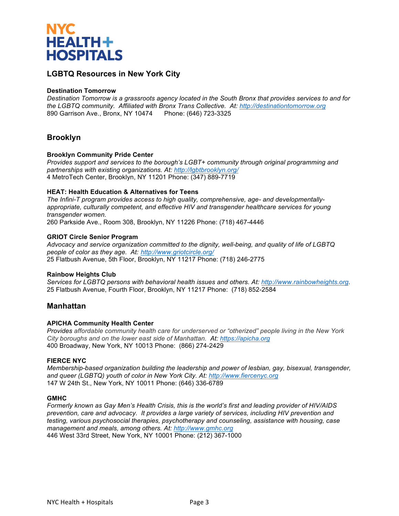

# **Destination Tomorrow**

*Destination Tomorrow is a grassroots agency located in the South Bronx that provides services to and for the LGBTQ community. Affiliated with Bronx Trans Collective. At: http://destinationtomorrow.org*  890 Garrison Ave., Bronx, NY 10474 Phone: (646) 723-3325

# **Brooklyn**

# **Brooklyn Community Pride Center**

*Provides support and services to the borough's LGBT+ community through original programming and partnerships with existing organizations. At: http://lgbtbrooklyn.org/*  4 MetroTech Center, Brooklyn, NY 11201 Phone: (347) 889-7719

#### **HEAT: Health Education & Alternatives for Teens**

*The Infini-T program provides access to high quality, comprehensive, age- and developmentallyappropriate, culturally competent, and effective HIV and transgender healthcare services for young transgender women.* 260 Parkside Ave., Room 308, Brooklyn, NY 11226 Phone: (718) 467-4446

#### **GRIOT Circle Senior Program**

*Advocacy and service organization committed to the dignity, well-being, and quality of life of LGBTQ people of color as they age. At: http://www.griotcircle.org/*  25 Flatbush Avenue, 5th Floor, Brooklyn, NY 11217 Phone: (718) 246-2775

# **Rainbow Heights Club**

*Services for LGBTQ persons with behavioral health issues and others. At: http://www.rainbowheights.org.* 25 Flatbush Avenue, Fourth Floor, Brooklyn, NY 11217 Phone: (718) 852-2584

# **Manhattan**

# **APICHA Community Health Center**

*Provides affordable community health care for underserved or "otherized" people living in the New York City boroughs and on the lower east side of Manhattan. At: https://apicha.org*  400 Broadway, New York, NY 10013 Phone: (866) 274-2429

#### **FIERCE NYC**

*Membership-based organization building the leadership and power of lesbian, gay, bisexual, transgender, and queer (LGBTQ) youth of color in New York City. At: http://www.fiercenyc.org*  147 W 24th St., New York, NY 10011 Phone: (646) 336-6789

#### **GMHC**

*Formerly known as Gay Men's Health Crisis, this is the world's first and leading provider of HIV/AIDS prevention, care and advocacy. It provides a large variety of services, including HIV prevention and testing, various psychosocial therapies, psychotherapy and counseling, assistance with housing, case management and meals, among others. At: http://www.gmhc.org* 446 West 33rd Street, New York, NY 10001 Phone: (212) 367-1000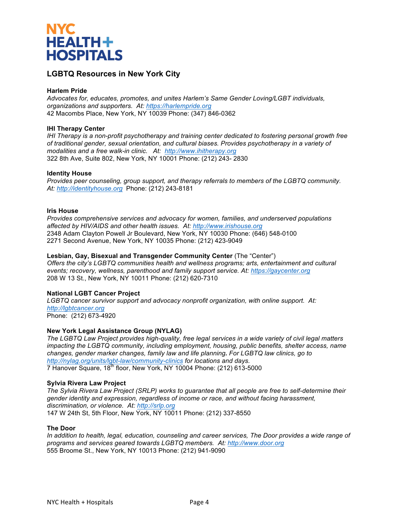

# **Harlem Pride**

*Advocates for, educates, promotes, and unites Harlem's Same Gender Loving/LGBT individuals, organizations and supporters. At: https://harlempride.org* 42 Macombs Place, New York, NY 10039 Phone: (347) 846-0362

#### **IHI Therapy Center**

*IHI Therapy is a non-profit psychotherapy and training center dedicated to fostering personal growth free of traditional gender, sexual orientation, and cultural biases. Provides psychotherapy in a variety of modalities and a free walk-in clinic. At: http://www.ihitherapy.org* 322 8th Ave, Suite 802, New York, NY 10001 Phone: (212) 243- 2830

#### **Identity House**

*Provides peer counseling, group support, and therapy referrals to members of the LGBTQ community. At: http://identityhouse.org* Phone: (212) 243-8181

#### **Iris House**

*Provides comprehensive services and advocacy for women, families, and underserved populations affected by HIV/AIDS and other health issues. At: http://www.irishouse.org*  2348 Adam Clayton Powell Jr Boulevard, New York, NY 10030 Phone: (646) 548-0100 2271 Second Avenue, New York, NY 10035 Phone: (212) 423-9049

#### **Lesbian, Gay, Bisexual and Transgender Community Center** (The "Center")

*Offers the city's LGBTQ communities health and wellness programs; arts, entertainment and cultural events; recovery, wellness, parenthood and family support service. At: https://gaycenter.org*  208 W 13 St., New York, NY 10011 Phone: (212) 620-7310

# **National LGBT Cancer Project**

*LGBTQ cancer survivor support and advocacy nonprofit organization, with online support. At: http://lgbtcancer.org*  Phone: (212) 673-4920

# **New York Legal Assistance Group (NYLAG)**

*The LGBTQ Law Project provides high-quality, free legal services in a wide variety of civil legal matters impacting the LGBTQ community, including employment, housing, public benefits, shelter access, name changes, gender marker changes, family law and life planning. For LGBTQ law clinics, go to http://nylag.org/units/lgbt-law/community-clinics for locations and days.* 7 Hanover Square, 18<sup>th</sup> floor, New York, NY 10004 Phone: (212) 613-5000

#### **Sylvia Rivera Law Project**

*The Sylvia Rivera Law Project (SRLP) works to guarantee that all people are free to self-determine their gender identity and expression, regardless of income or race, and without facing harassment, discrimination, or violence. At: http://srlp.org*  147 W 24th St, 5th Floor, New York, NY 10011 Phone: (212) 337-8550

#### **The Door**

*In addition to health, legal, education, counseling and career services, The Door provides a wide range of programs and services geared towards LGBTQ members. At: http://www.door.org* 555 Broome St., New York, NY 10013 Phone: (212) 941-9090